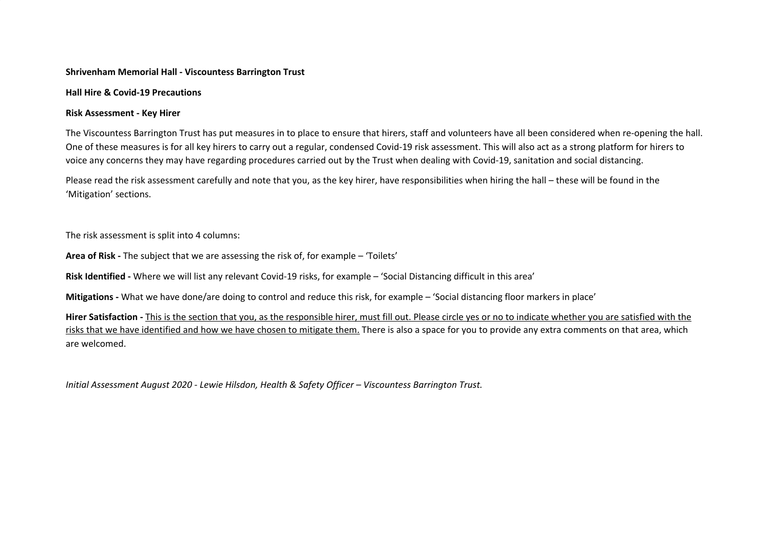## **Shrivenham Memorial Hall - Viscountess Barrington Trust**

## **Hall Hire & Covid-19 Precautions**

## **Risk Assessment - Key Hirer**

The Viscountess Barrington Trust has put measures in to place to ensure that hirers, staff and volunteers have all been considered when re-opening the hall. One of these measures is for all key hirers to carry out a regular, condensed Covid-19 risk assessment. This will also act as a strong platform for hirers to voice any concerns they may have regarding procedures carried out by the Trust when dealing with Covid-19, sanitation and social distancing.

Please read the risk assessment carefully and note that you, as the key hirer, have responsibilities when hiring the hall – these will be found in the 'Mitigation' sections.

The risk assessment is split into 4 columns:

**Area of Risk -** The subject that we are assessing the risk of, for example – 'Toilets'

**Risk Identified -** Where we will list any relevant Covid-19 risks, for example – 'Social Distancing difficult in this area'

**Mitigations -** What we have done/are doing to control and reduce this risk, for example – 'Social distancing floor markers in place'

**Hirer Satisfaction -** This is the section that you, as the responsible hirer, must fill out. Please circle yes or no to indicate whether you are satisfied with the risks that we have identified and how we have chosen to mitigate them. There is also a space for you to provide any extra comments on that area, which are welcomed.

*Initial Assessment August 2020 - Lewie Hilsdon, Health & Safety Officer – Viscountess Barrington Trust.*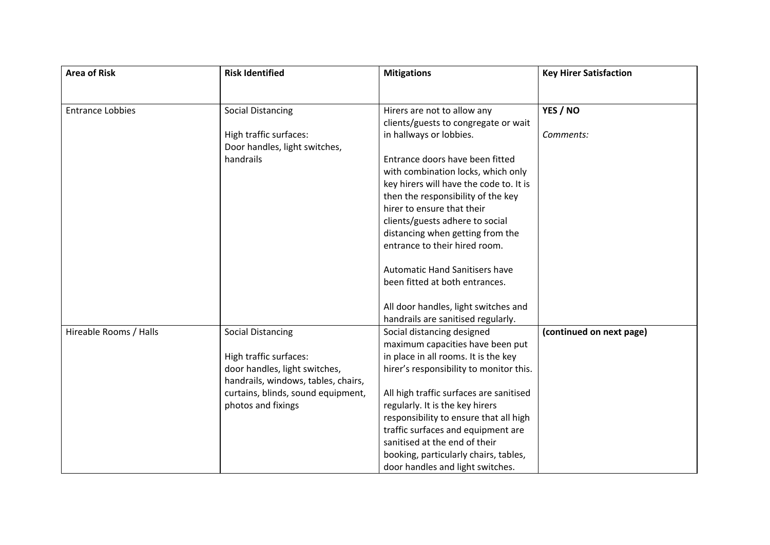| <b>Area of Risk</b>     | <b>Risk Identified</b>                                               | <b>Mitigations</b>                      | <b>Key Hirer Satisfaction</b> |
|-------------------------|----------------------------------------------------------------------|-----------------------------------------|-------------------------------|
|                         |                                                                      |                                         |                               |
| <b>Entrance Lobbies</b> | <b>Social Distancing</b>                                             | Hirers are not to allow any             | YES / NO                      |
|                         |                                                                      | clients/guests to congregate or wait    |                               |
|                         | High traffic surfaces:                                               | in hallways or lobbies.                 | Comments:                     |
|                         | Door handles, light switches,                                        |                                         |                               |
|                         | handrails                                                            | Entrance doors have been fitted         |                               |
|                         |                                                                      | with combination locks, which only      |                               |
|                         |                                                                      | key hirers will have the code to. It is |                               |
|                         |                                                                      | then the responsibility of the key      |                               |
|                         |                                                                      | hirer to ensure that their              |                               |
|                         |                                                                      | clients/guests adhere to social         |                               |
|                         |                                                                      | distancing when getting from the        |                               |
|                         |                                                                      | entrance to their hired room.           |                               |
|                         |                                                                      | <b>Automatic Hand Sanitisers have</b>   |                               |
|                         |                                                                      | been fitted at both entrances.          |                               |
|                         |                                                                      | All door handles, light switches and    |                               |
|                         |                                                                      | handrails are sanitised regularly.      |                               |
| Hireable Rooms / Halls  | <b>Social Distancing</b>                                             | Social distancing designed              | (continued on next page)      |
|                         |                                                                      | maximum capacities have been put        |                               |
|                         | High traffic surfaces:                                               | in place in all rooms. It is the key    |                               |
|                         | door handles, light switches,<br>handrails, windows, tables, chairs, | hirer's responsibility to monitor this. |                               |
|                         | curtains, blinds, sound equipment,                                   | All high traffic surfaces are sanitised |                               |
|                         | photos and fixings                                                   | regularly. It is the key hirers         |                               |
|                         |                                                                      | responsibility to ensure that all high  |                               |
|                         |                                                                      | traffic surfaces and equipment are      |                               |
|                         |                                                                      | sanitised at the end of their           |                               |
|                         |                                                                      | booking, particularly chairs, tables,   |                               |
|                         |                                                                      | door handles and light switches.        |                               |